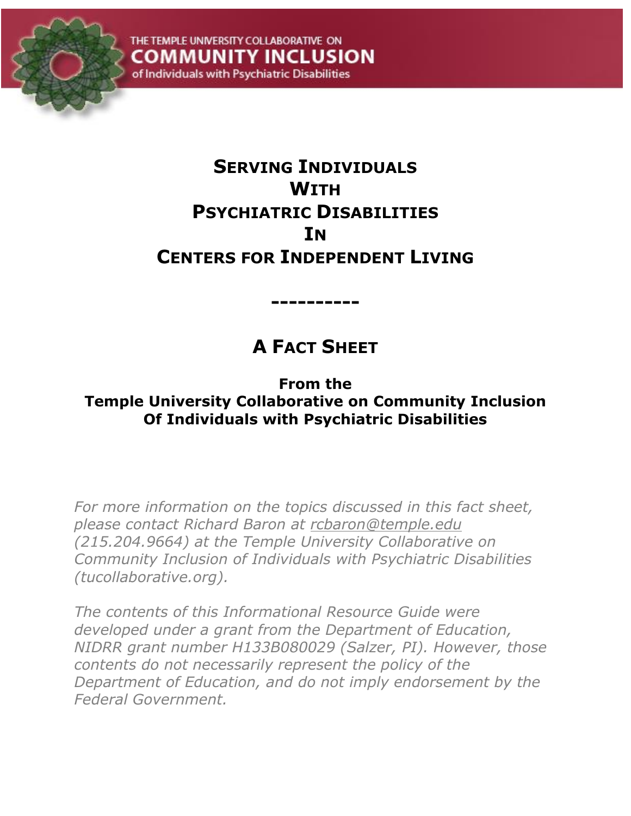

# **SERVING INDIVIDUALS WITH PSYCHIATRIC DISABILITIES IN CENTERS FOR INDEPENDENT LIVING**

# **A FACT SHEET**

**----------**

**From the Temple University Collaborative on Community Inclusion Of Individuals with Psychiatric Disabilities**

*For more information on the topics discussed in this fact sheet, please contact Richard Baron at [rcbaron@temple.edu](mailto:rcbaron@temple.edu) (215.204.9664) at the Temple University Collaborative on Community Inclusion of Individuals with Psychiatric Disabilities (tucollaborative.org).*

*The contents of this Informational Resource Guide were developed under a grant from the Department of Education, NIDRR grant number H133B080029 (Salzer, PI). However, those contents do not necessarily represent the policy of the Department of Education, and do not imply endorsement by the Federal Government.*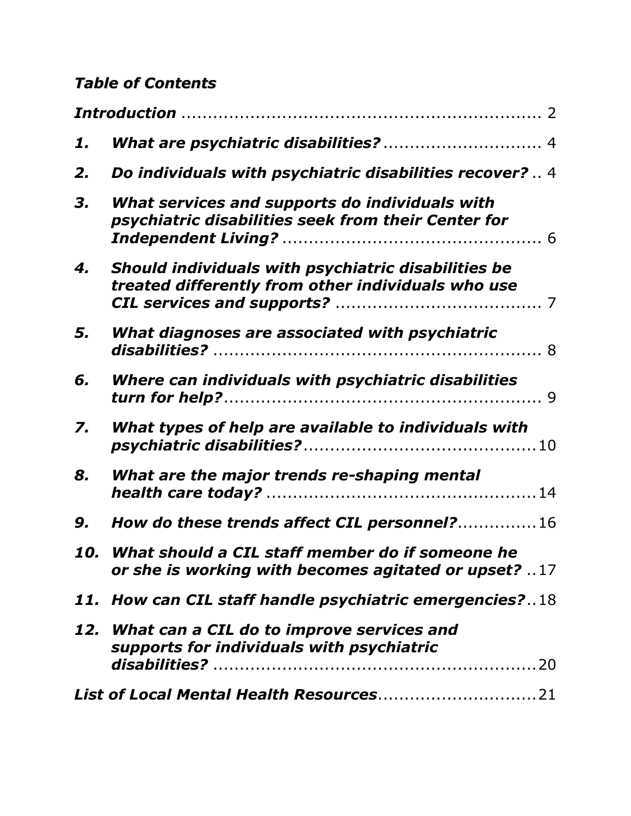### *Table of Contents*

| 1. |                                                                                                             |
|----|-------------------------------------------------------------------------------------------------------------|
| 2. | Do individuals with psychiatric disabilities recover?  4                                                    |
| 3. | What services and supports do individuals with<br>psychiatric disabilities seek from their Center for       |
| 4. | Should individuals with psychiatric disabilities be<br>treated differently from other individuals who use   |
| 5. | What diagnoses are associated with psychiatric                                                              |
| 6. | Where can individuals with psychiatric disabilities                                                         |
| 7. | What types of help are available to individuals with                                                        |
| 8. | What are the major trends re-shaping mental                                                                 |
| 9. | How do these trends affect CIL personnel?16                                                                 |
|    | 10. What should a CIL staff member do if someone he<br>or she is working with becomes agitated or upset? 17 |
|    | 11. How can CIL staff handle psychiatric emergencies?18                                                     |
|    | 12. What can a CIL do to improve services and<br>supports for individuals with psychiatric                  |
|    |                                                                                                             |
|    |                                                                                                             |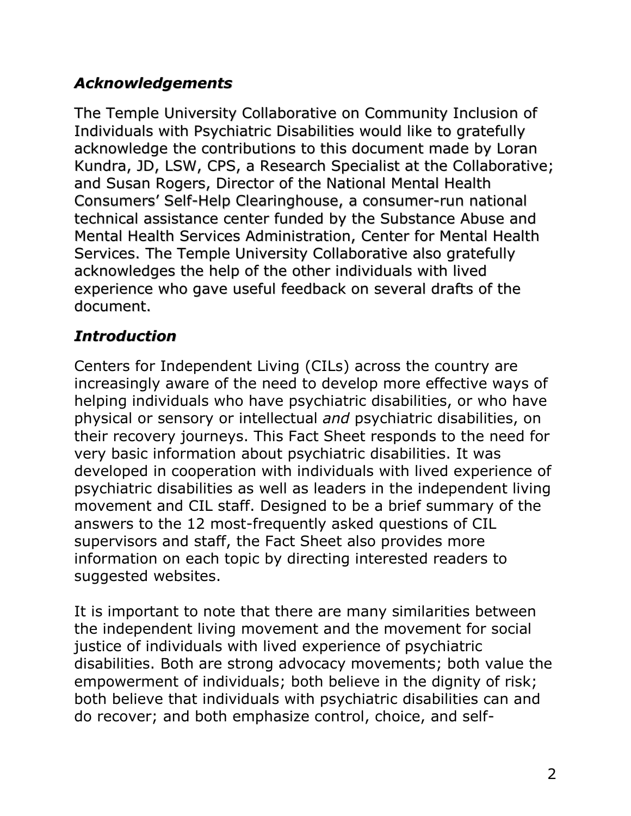### *Acknowledgements*

The Temple University Collaborative on Community Inclusion of Individuals with Psychiatric Disabilities would like to gratefully acknowledge the contributions to this document made by Loran Kundra, JD, LSW, CPS, a Research Specialist at the Collaborative; and Susan Rogers, Director of the National Mental Health Consumers" Self-Help Clearinghouse, a consumer-run national technical assistance center funded by the Substance Abuse and Mental Health Services Administration, Center for Mental Health Services. The Temple University Collaborative also gratefully acknowledges the help of the other individuals with lived experience who gave useful feedback on several drafts of the document.

### <span id="page-2-0"></span>*Introduction*

Centers for Independent Living (CILs) across the country are increasingly aware of the need to develop more effective ways of helping individuals who have psychiatric disabilities, or who have physical or sensory or intellectual *and* psychiatric disabilities, on their recovery journeys. This Fact Sheet responds to the need for very basic information about psychiatric disabilities. It was developed in cooperation with individuals with lived experience of psychiatric disabilities as well as leaders in the independent living movement and CIL staff. Designed to be a brief summary of the answers to the 12 most-frequently asked questions of CIL supervisors and staff, the Fact Sheet also provides more information on each topic by directing interested readers to suggested websites.

It is important to note that there are many similarities between the independent living movement and the movement for social justice of individuals with lived experience of psychiatric disabilities. Both are strong advocacy movements; both value the empowerment of individuals; both believe in the dignity of risk; both believe that individuals with psychiatric disabilities can and do recover; and both emphasize control, choice, and self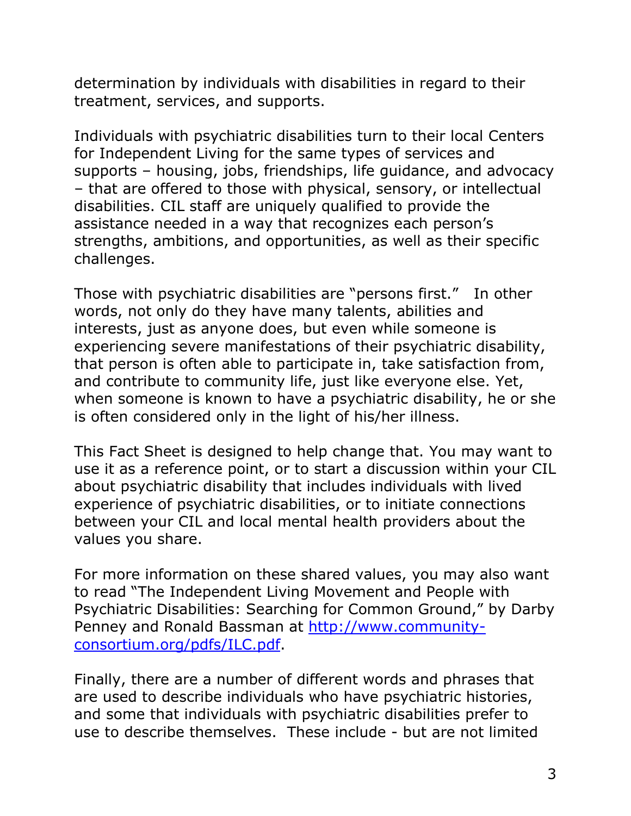determination by individuals with disabilities in regard to their treatment, services, and supports.

Individuals with psychiatric disabilities turn to their local Centers for Independent Living for the same types of services and supports – housing, jobs, friendships, life guidance, and advocacy – that are offered to those with physical, sensory, or intellectual disabilities. CIL staff are uniquely qualified to provide the assistance needed in a way that recognizes each person's strengths, ambitions, and opportunities, as well as their specific challenges.

Those with psychiatric disabilities are "persons first." In other words, not only do they have many talents, abilities and interests, just as anyone does, but even while someone is experiencing severe manifestations of their psychiatric disability, that person is often able to participate in, take satisfaction from, and contribute to community life, just like everyone else. Yet, when someone is known to have a psychiatric disability, he or she is often considered only in the light of his/her illness.

This Fact Sheet is designed to help change that. You may want to use it as a reference point, or to start a discussion within your CIL about psychiatric disability that includes individuals with lived experience of psychiatric disabilities, or to initiate connections between your CIL and local mental health providers about the values you share.

For more information on these shared values, you may also want to read "The Independent Living Movement and People with Psychiatric Disabilities: Searching for Common Ground," by Darby Penney and Ronald Bassman at [http://www.community](http://www.community-consortium.org/pdfs/ILC.pdf)[consortium.org/pdfs/ILC.pdf.](http://www.community-consortium.org/pdfs/ILC.pdf)

Finally, there are a number of different words and phrases that are used to describe individuals who have psychiatric histories, and some that individuals with psychiatric disabilities prefer to use to describe themselves. These include - but are not limited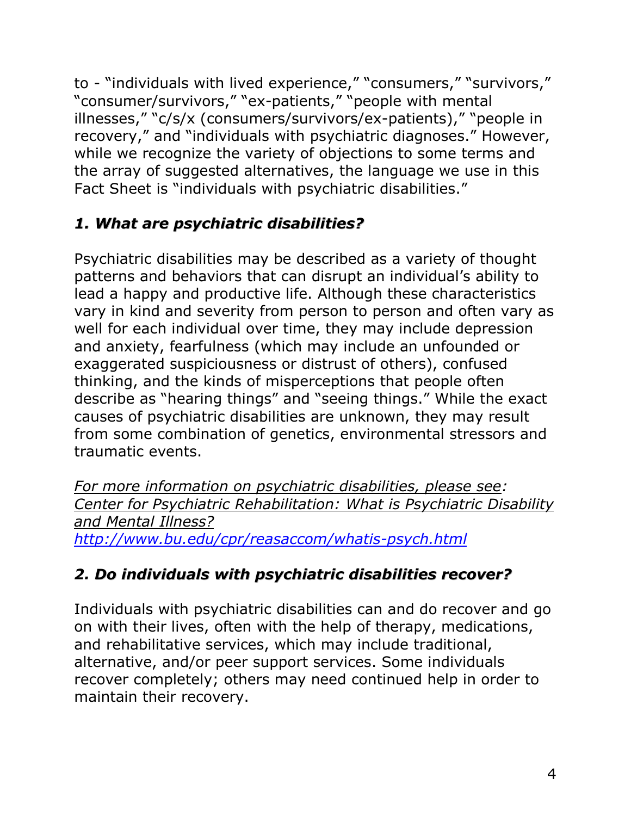to - "individuals with lived experience," "consumers," "survivors," "consumer/survivors," "ex-patients," "people with mental illnesses," "c/s/x (consumers/survivors/ex-patients)," "people in recovery," and "individuals with psychiatric diagnoses." However, while we recognize the variety of objections to some terms and the array of suggested alternatives, the language we use in this Fact Sheet is "individuals with psychiatric disabilities."

## <span id="page-4-0"></span>*1. What are psychiatric disabilities?*

Psychiatric disabilities may be described as a variety of thought patterns and behaviors that can disrupt an individual's ability to lead a happy and productive life. Although these characteristics vary in kind and severity from person to person and often vary as well for each individual over time, they may include depression and anxiety, fearfulness (which may include an unfounded or exaggerated suspiciousness or distrust of others), confused thinking, and the kinds of misperceptions that people often describe as "hearing things" and "seeing things." While the exact causes of psychiatric disabilities are unknown, they may result from some combination of genetics, environmental stressors and traumatic events.

*For more information on psychiatric disabilities, please see: Center for Psychiatric Rehabilitation: What is Psychiatric Disability and Mental Illness? <http://www.bu.edu/cpr/reasaccom/whatis-psych.html>*

# <span id="page-4-1"></span>*2. Do individuals with psychiatric disabilities recover?*

Individuals with psychiatric disabilities can and do recover and go on with their lives, often with the help of therapy, medications, and rehabilitative services, which may include traditional, alternative, and/or peer support services. Some individuals recover completely; others may need continued help in order to maintain their recovery.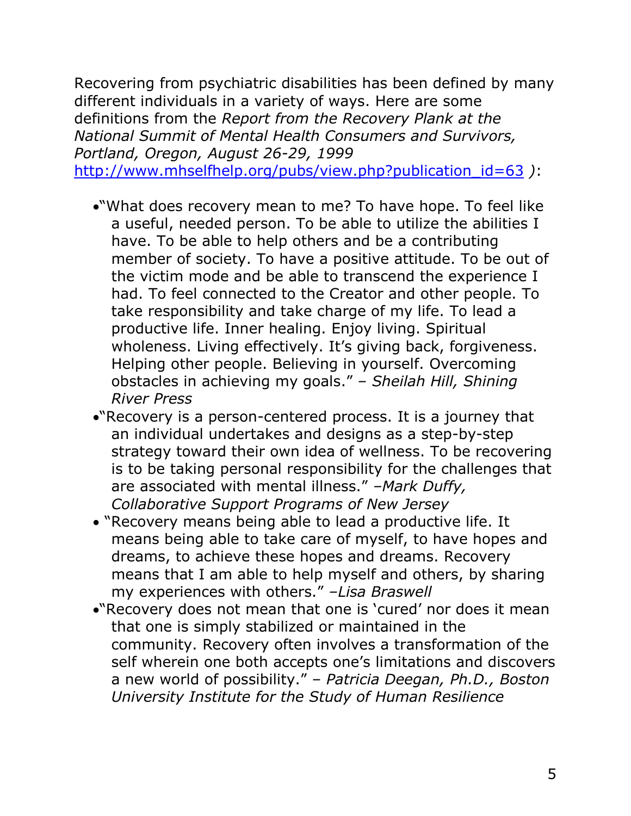Recovering from psychiatric disabilities has been defined by many different individuals in a variety of ways. Here are some definitions from the *Report from the Recovery Plank at the National Summit of Mental Health Consumers and Survivors, Portland, Oregon, August 26-29, 1999*  [http://www.mhselfhelp.org/pubs/view.php?publication\\_id=63](http://www.mhselfhelp.org/pubs/view.php?publication_id=63) *)*:

- "What does recovery mean to me? To have hope. To feel like a useful, needed person. To be able to utilize the abilities I have. To be able to help others and be a contributing member of society. To have a positive attitude. To be out of the victim mode and be able to transcend the experience I had. To feel connected to the Creator and other people. To take responsibility and take charge of my life. To lead a productive life. Inner healing. Enjoy living. Spiritual wholeness. Living effectively. It's giving back, forgiveness. Helping other people. Believing in yourself. Overcoming obstacles in achieving my goals." – *Sheilah Hill, Shining River Press*
- "Recovery is a person-centered process. It is a journey that an individual undertakes and designs as a step-by-step strategy toward their own idea of wellness. To be recovering is to be taking personal responsibility for the challenges that are associated with mental illness." *–Mark Duffy, Collaborative Support Programs of New Jersey*
- "Recovery means being able to lead a productive life. It means being able to take care of myself, to have hopes and dreams, to achieve these hopes and dreams. Recovery means that I am able to help myself and others, by sharing my experiences with others." *–Lisa Braswell*
- "Recovery does not mean that one is "cured" nor does it mean that one is simply stabilized or maintained in the community. Recovery often involves a transformation of the self wherein one both accepts one's limitations and discovers a new world of possibility." – *Patricia Deegan, Ph.D., Boston University Institute for the Study of Human Resilience*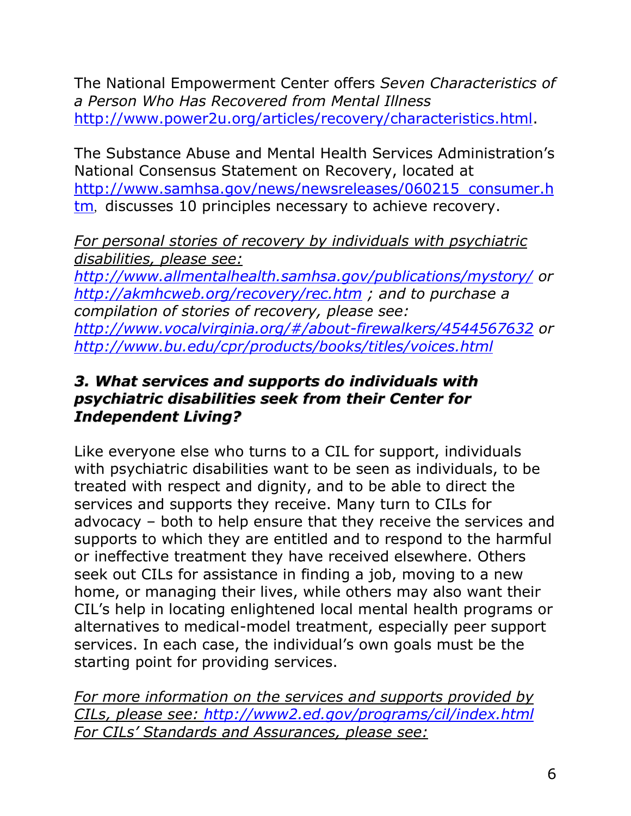The National Empowerment Center offers *Seven Characteristics of a Person Who Has Recovered from Mental Illness* [http://www.power2u.org/articles/recovery/characteristics.html.](http://www.power2u.org/articles/recovery/characteristics.html)

The Substance Abuse and Mental Health Services Administration"s National Consensus Statement on Recovery, located at [http://www.samhsa.gov/news/newsreleases/060215\\_consumer.h](http://www.samhsa.gov/news/newsreleases/060215_consumer.htm) [tm](http://www.samhsa.gov/news/newsreleases/060215_consumer.htm), discusses 10 principles necessary to achieve recovery.

*For personal stories of recovery by individuals with psychiatric disabilities, please see:*

*<http://www.allmentalhealth.samhsa.gov/publications/mystory/> or <http://akmhcweb.org/recovery/rec.htm> ; and to purchase a compilation of stories of recovery, please see: <http://www.vocalvirginia.org/#/about-firewalkers/4544567632> or <http://www.bu.edu/cpr/products/books/titles/voices.html>*

#### *3. What services and supports do individuals with psychiatric disabilities seek from their Center for Independent Living?*

<span id="page-6-0"></span>Like everyone else who turns to a CIL for support, individuals with psychiatric disabilities want to be seen as individuals, to be treated with respect and dignity, and to be able to direct the services and supports they receive. Many turn to CILs for advocacy – both to help ensure that they receive the services and supports to which they are entitled and to respond to the harmful or ineffective treatment they have received elsewhere. Others seek out CILs for assistance in finding a job, moving to a new home, or managing their lives, while others may also want their CIL"s help in locating enlightened local mental health programs or alternatives to medical-model treatment, especially peer support services. In each case, the individual's own goals must be the starting point for providing services.

*For more information on the services and supports provided by CILs, please see:<http://www2.ed.gov/programs/cil/index.html> For CILs' Standards and Assurances, please see:*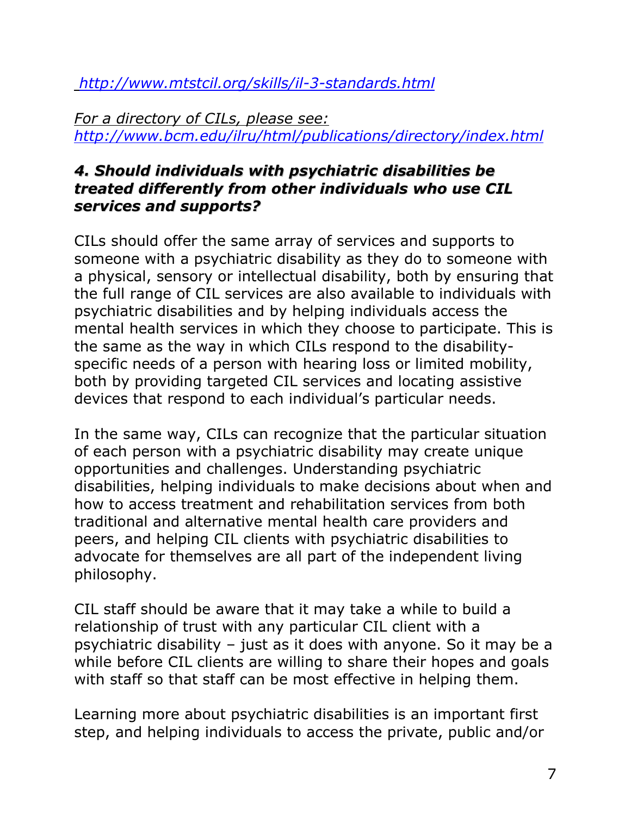*<http://www.mtstcil.org/skills/il-3-standards.html>*

*For a directory of CILs, please see: <http://www.bcm.edu/ilru/html/publications/directory/index.html>*

### *4. Should individuals with psychiatric disabilities be treated differently from other individuals who use CIL services and supports?*

<span id="page-7-0"></span>CILs should offer the same array of services and supports to someone with a psychiatric disability as they do to someone with a physical, sensory or intellectual disability, both by ensuring that the full range of CIL services are also available to individuals with psychiatric disabilities and by helping individuals access the mental health services in which they choose to participate. This is the same as the way in which CILs respond to the disabilityspecific needs of a person with hearing loss or limited mobility, both by providing targeted CIL services and locating assistive devices that respond to each individual"s particular needs.

In the same way, CILs can recognize that the particular situation of each person with a psychiatric disability may create unique opportunities and challenges. Understanding psychiatric disabilities, helping individuals to make decisions about when and how to access treatment and rehabilitation services from both traditional and alternative mental health care providers and peers, and helping CIL clients with psychiatric disabilities to advocate for themselves are all part of the independent living philosophy.

CIL staff should be aware that it may take a while to build a relationship of trust with any particular CIL client with a psychiatric disability – just as it does with anyone. So it may be a while before CIL clients are willing to share their hopes and goals with staff so that staff can be most effective in helping them.

Learning more about psychiatric disabilities is an important first step, and helping individuals to access the private, public and/or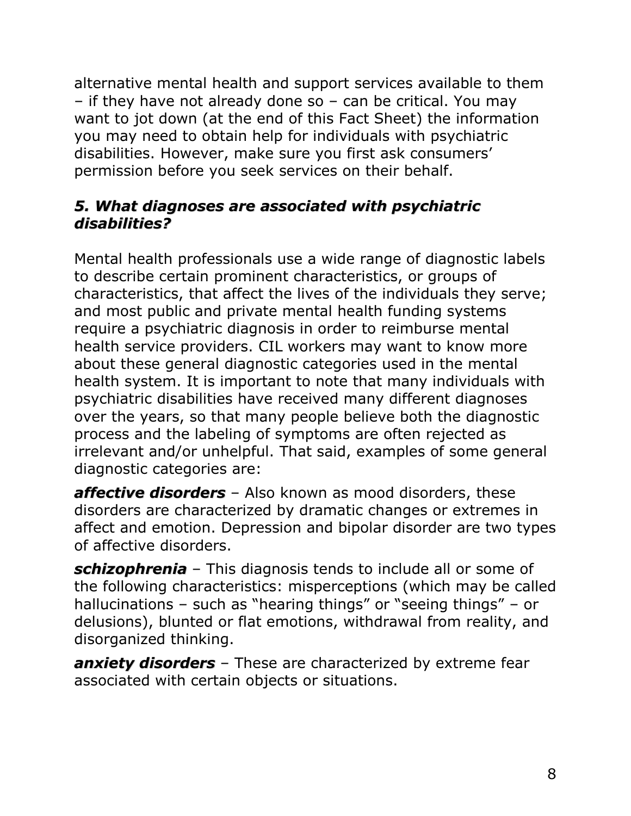alternative mental health and support services available to them – if they have not already done so – can be critical. You may want to jot down (at the end of this Fact Sheet) the information you may need to obtain help for individuals with psychiatric disabilities. However, make sure you first ask consumers" permission before you seek services on their behalf.

#### <span id="page-8-0"></span>*5. What diagnoses are associated with psychiatric disabilities?*

Mental health professionals use a wide range of diagnostic labels to describe certain prominent characteristics, or groups of characteristics, that affect the lives of the individuals they serve; and most public and private mental health funding systems require a psychiatric diagnosis in order to reimburse mental health service providers. CIL workers may want to know more about these general diagnostic categories used in the mental health system. It is important to note that many individuals with psychiatric disabilities have received many different diagnoses over the years, so that many people believe both the diagnostic process and the labeling of symptoms are often rejected as irrelevant and/or unhelpful. That said, examples of some general diagnostic categories are:

*affective disorders* – Also known as mood disorders, these disorders are characterized by dramatic changes or extremes in affect and emotion. Depression and bipolar disorder are two types of affective disorders.

*schizophrenia* – This diagnosis tends to include all or some of the following characteristics: misperceptions (which may be called hallucinations – such as "hearing things" or "seeing things" – or delusions), blunted or flat emotions, withdrawal from reality, and disorganized thinking.

*anxiety disorders* – These are characterized by extreme fear associated with certain objects or situations.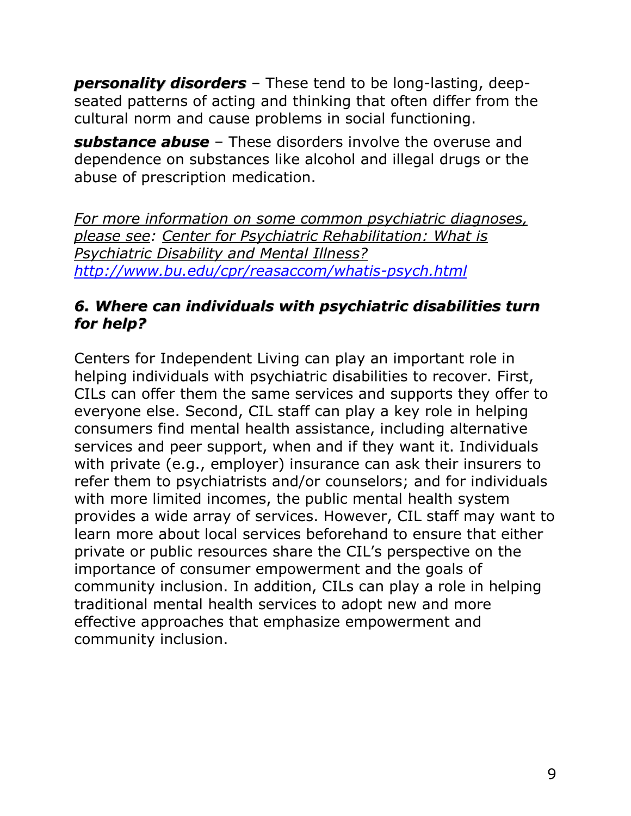*personality disorders* – These tend to be long-lasting, deepseated patterns of acting and thinking that often differ from the cultural norm and cause problems in social functioning.

*substance abuse* – These disorders involve the overuse and dependence on substances like alcohol and illegal drugs or the abuse of prescription medication.

*For more information on some common psychiatric diagnoses, please see: Center for Psychiatric Rehabilitation: What is Psychiatric Disability and Mental Illness? <http://www.bu.edu/cpr/reasaccom/whatis-psych.html>*

#### <span id="page-9-0"></span>*6. Where can individuals with psychiatric disabilities turn for help?*

Centers for Independent Living can play an important role in helping individuals with psychiatric disabilities to recover. First, CILs can offer them the same services and supports they offer to everyone else. Second, CIL staff can play a key role in helping consumers find mental health assistance, including alternative services and peer support, when and if they want it. Individuals with private (e.g., employer) insurance can ask their insurers to refer them to psychiatrists and/or counselors; and for individuals with more limited incomes, the public mental health system provides a wide array of services. However, CIL staff may want to learn more about local services beforehand to ensure that either private or public resources share the CIL"s perspective on the importance of consumer empowerment and the goals of community inclusion. In addition, CILs can play a role in helping traditional mental health services to adopt new and more effective approaches that emphasize empowerment and community inclusion.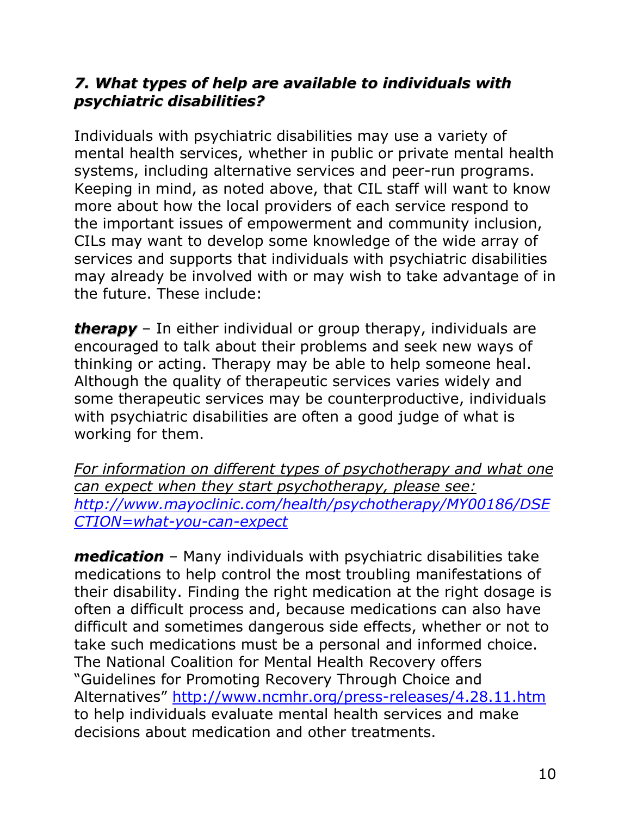#### <span id="page-10-0"></span>*7. What types of help are available to individuals with psychiatric disabilities?*

Individuals with psychiatric disabilities may use a variety of mental health services, whether in public or private mental health systems, including alternative services and peer-run programs. Keeping in mind, as noted above, that CIL staff will want to know more about how the local providers of each service respond to the important issues of empowerment and community inclusion, CILs may want to develop some knowledge of the wide array of services and supports that individuals with psychiatric disabilities may already be involved with or may wish to take advantage of in the future. These include:

*therapy* – In either individual or group therapy, individuals are encouraged to talk about their problems and seek new ways of thinking or acting. Therapy may be able to help someone heal. Although the quality of therapeutic services varies widely and some therapeutic services may be counterproductive, individuals with psychiatric disabilities are often a good judge of what is working for them.

*For information on different types of psychotherapy and what one can expect when they start psychotherapy, please see: [http://www.mayoclinic.com/health/psychotherapy/MY00186/DSE](http://www.mayoclinic.com/health/psychotherapy/MY00186/DSECTION=what-you-can-expect) [CTION=what-you-can-expect](http://www.mayoclinic.com/health/psychotherapy/MY00186/DSECTION=what-you-can-expect)*

*medication* – Many individuals with psychiatric disabilities take medications to help control the most troubling manifestations of their disability. Finding the right medication at the right dosage is often a difficult process and, because medications can also have difficult and sometimes dangerous side effects, whether or not to take such medications must be a personal and informed choice. The National Coalition for Mental Health Recovery offers "Guidelines for Promoting Recovery Through Choice and Alternatives" <http://www.ncmhr.org/press-releases/4.28.11.htm> to help individuals evaluate mental health services and make decisions about medication and other treatments.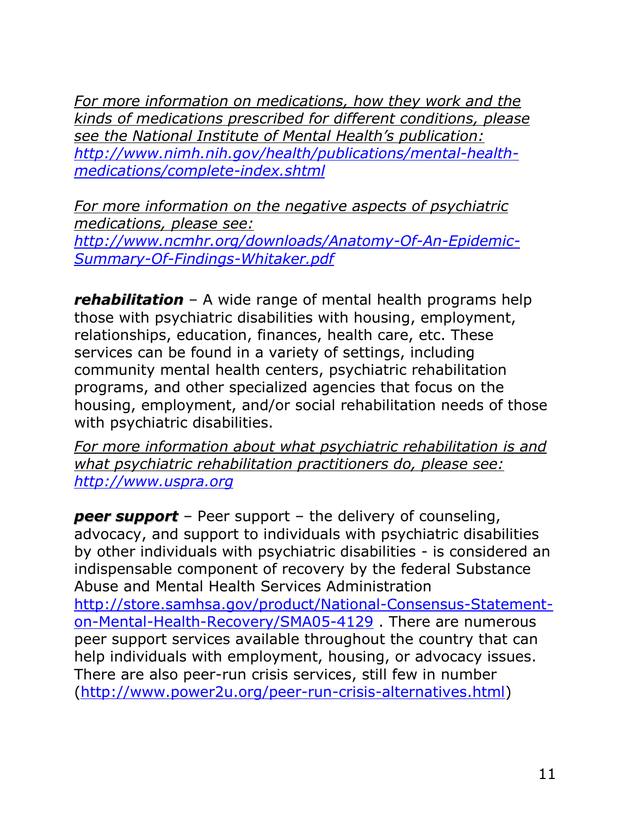*For more information on medications, how they work and the kinds of medications prescribed for different conditions, please see the National Institute of Mental Health's publication: [http://www.nimh.nih.gov/health/publications/mental-health](http://www.nimh.nih.gov/health/publications/mental-health-medications/complete-index.shtml)[medications/complete-index.shtml](http://www.nimh.nih.gov/health/publications/mental-health-medications/complete-index.shtml)*

*For more information on the negative aspects of psychiatric medications, please see: [http://www.ncmhr.org/downloads/Anatomy-Of-An-Epidemic-](http://www.ncmhr.org/downloads/Anatomy-Of-An-Epidemic-Summary-Of-Findings-Whitaker.pdf)[Summary-Of-Findings-Whitaker.pdf](http://www.ncmhr.org/downloads/Anatomy-Of-An-Epidemic-Summary-Of-Findings-Whitaker.pdf)*

*rehabilitation* – A wide range of mental health programs help those with psychiatric disabilities with housing, employment, relationships, education, finances, health care, etc. These services can be found in a variety of settings, including community mental health centers, psychiatric rehabilitation programs, and other specialized agencies that focus on the housing, employment, and/or social rehabilitation needs of those with psychiatric disabilities.

*For more information about what psychiatric rehabilitation is and what psychiatric rehabilitation practitioners do, please see: [http://www.uspra.org](http://www.uspra.org/)*

*peer support* – Peer support – the delivery of counseling, advocacy, and support to individuals with psychiatric disabilities by other individuals with psychiatric disabilities - is considered an indispensable component of recovery by the federal Substance Abuse and Mental Health Services Administration [http://store.samhsa.gov/product/National-Consensus-Statement](http://store.samhsa.gov/product/National-Consensus-Statement-on-Mental-Health-Recovery/SMA05-4129)[on-Mental-Health-Recovery/SMA05-4129](http://store.samhsa.gov/product/National-Consensus-Statement-on-Mental-Health-Recovery/SMA05-4129) . There are numerous peer support services available throughout the country that can help individuals with employment, housing, or advocacy issues. There are also peer-run crisis services, still few in number [\(http://www.power2u.org/peer-run-crisis-alternatives.html\)](http://www.power2u.org/peer-run-crisis-alternatives.html)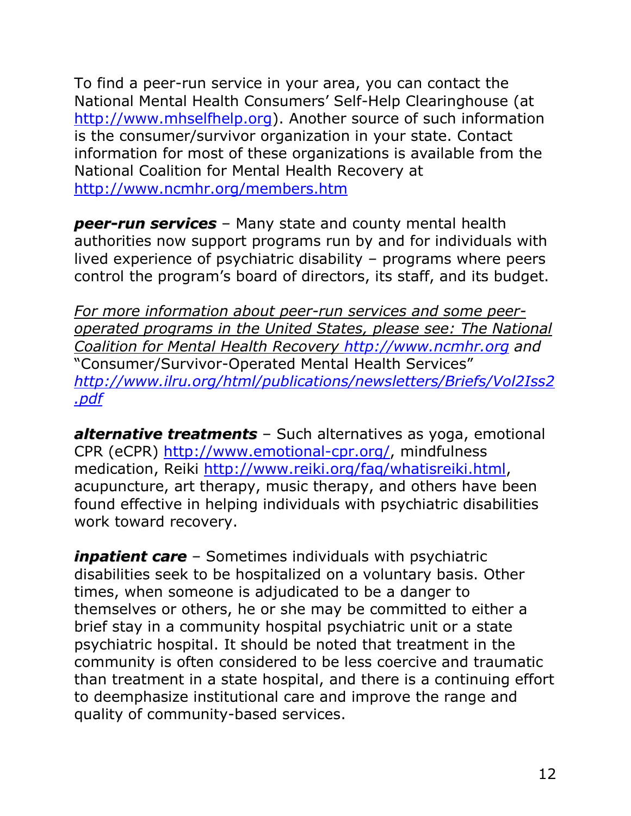To find a peer-run service in your area, you can contact the National Mental Health Consumers" Self-Help Clearinghouse (at [http://www.mhselfhelp.org\)](http://www.mhselfhelp.org/). Another source of such information is the consumer/survivor organization in your state. Contact information for most of these organizations is available from the National Coalition for Mental Health Recovery at <http://www.ncmhr.org/members.htm>

*peer-run services* – Many state and county mental health authorities now support programs run by and for individuals with lived experience of psychiatric disability – programs where peers control the program"s board of directors, its staff, and its budget.

*For more information about peer-run services and some peeroperated programs in the United States, please see: The National Coalition for Mental Health Recovery [http://www.ncmhr.org](http://www.ncmhr.org/) and*  "Consumer/Survivor-Operated Mental Health Services" *[http://www.ilru.org/html/publications/newsletters/Briefs/Vol2Iss2](http://www.ilru.org/html/publications/newsletters/Briefs/Vol2Iss2.pdf) [.pdf](http://www.ilru.org/html/publications/newsletters/Briefs/Vol2Iss2.pdf)*

*alternative treatments* – Such alternatives as yoga, emotional CPR (eCPR) [http://www.emotional-cpr.org/,](http://www.emotional-cpr.org/) mindfulness medication, Reiki [http://www.reiki.org/faq/whatisreiki.html,](http://www.reiki.org/faq/whatisreiki.html) acupuncture, art therapy, music therapy, and others have been found effective in helping individuals with psychiatric disabilities work toward recovery.

*inpatient care* – Sometimes individuals with psychiatric disabilities seek to be hospitalized on a voluntary basis. Other times, when someone is adjudicated to be a danger to themselves or others, he or she may be committed to either a brief stay in a community hospital psychiatric unit or a state psychiatric hospital. It should be noted that treatment in the community is often considered to be less coercive and traumatic than treatment in a state hospital, and there is a continuing effort to deemphasize institutional care and improve the range and quality of community-based services.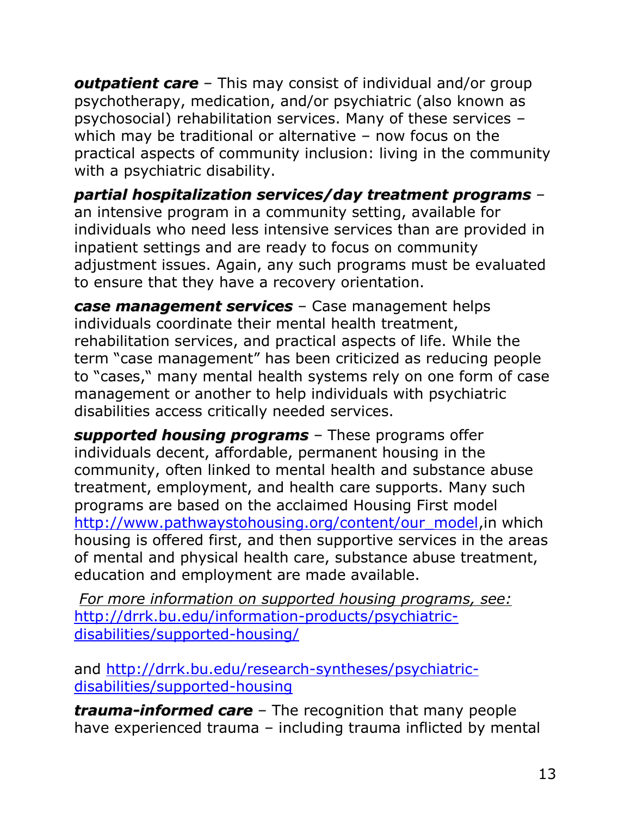*outpatient care* – This may consist of individual and/or group psychotherapy, medication, and/or psychiatric (also known as psychosocial) rehabilitation services. Many of these services – which may be traditional or alternative – now focus on the practical aspects of community inclusion: living in the community with a psychiatric disability.

*partial hospitalization services/day treatment programs* – an intensive program in a community setting, available for individuals who need less intensive services than are provided in inpatient settings and are ready to focus on community adjustment issues. Again, any such programs must be evaluated to ensure that they have a recovery orientation.

*case management services* – Case management helps individuals coordinate their mental health treatment, rehabilitation services, and practical aspects of life. While the term "case management" has been criticized as reducing people to "cases," many mental health systems rely on one form of case management or another to help individuals with psychiatric disabilities access critically needed services.

*supported housing programs* – These programs offer individuals decent, affordable, permanent housing in the community, often linked to mental health and substance abuse treatment, employment, and health care supports. Many such programs are based on the acclaimed Housing First model [http://www.pathwaystohousing.org/content/our\\_model,](http://www.pathwaystohousing.org/content/our_model)in which housing is offered first, and then supportive services in the areas of mental and physical health care, substance abuse treatment, education and employment are made available.

*For more information on supported housing programs, see:* [http://drrk.bu.edu/information-products/psychiatric](http://drrk.bu.edu/information-products/psychiatric-disabilities/supported-housing/)[disabilities/supported-housing/](http://drrk.bu.edu/information-products/psychiatric-disabilities/supported-housing/)

and [http://drrk.bu.edu/research-syntheses/psychiatric](http://drrk.bu.edu/research-syntheses/psychiatric-disabilities/supported-housing)[disabilities/supported-housing](http://drrk.bu.edu/research-syntheses/psychiatric-disabilities/supported-housing)

*trauma-informed care* – The recognition that many people have experienced trauma – including trauma inflicted by mental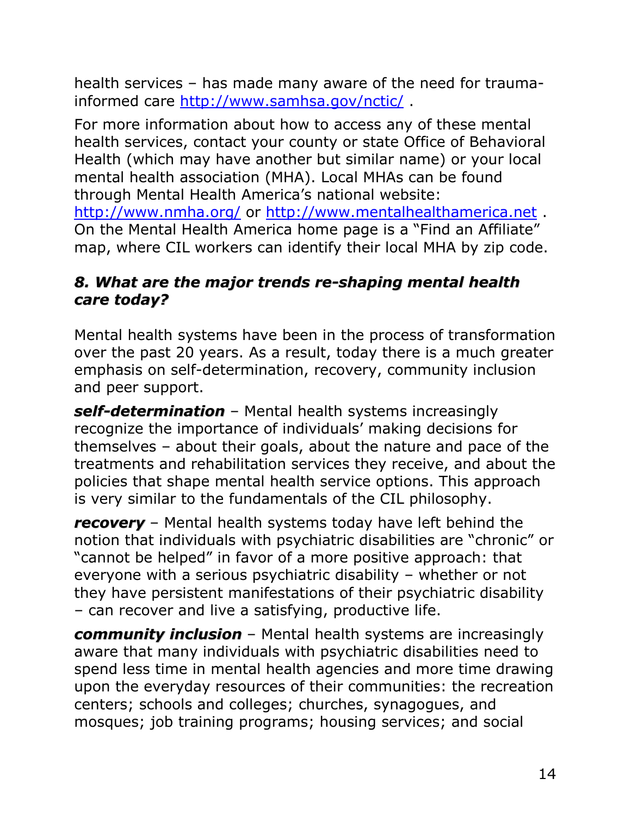health services – has made many aware of the need for traumainformed care<http://www.samhsa.gov/nctic/> .

For more information about how to access any of these mental health services, contact your county or state Office of Behavioral Health (which may have another but similar name) or your local mental health association (MHA). Local MHAs can be found through Mental Health America"s national website: <http://www.nmha.org/> or [http://www.mentalhealthamerica.net](http://www.mentalhealthamerica.net/) . On the Mental Health America home page is a "Find an Affiliate" map, where CIL workers can identify their local MHA by zip code.

#### <span id="page-14-0"></span>*8. What are the major trends re-shaping mental health care today?*

Mental health systems have been in the process of transformation over the past 20 years. As a result, today there is a much greater emphasis on self-determination, recovery, community inclusion and peer support.

*self-determination* – Mental health systems increasingly recognize the importance of individuals" making decisions for themselves – about their goals, about the nature and pace of the treatments and rehabilitation services they receive, and about the policies that shape mental health service options. This approach is very similar to the fundamentals of the CIL philosophy.

*recovery* – Mental health systems today have left behind the notion that individuals with psychiatric disabilities are "chronic" or "cannot be helped" in favor of a more positive approach: that everyone with a serious psychiatric disability – whether or not they have persistent manifestations of their psychiatric disability – can recover and live a satisfying, productive life.

*community inclusion* – Mental health systems are increasingly aware that many individuals with psychiatric disabilities need to spend less time in mental health agencies and more time drawing upon the everyday resources of their communities: the recreation centers; schools and colleges; churches, synagogues, and mosques; job training programs; housing services; and social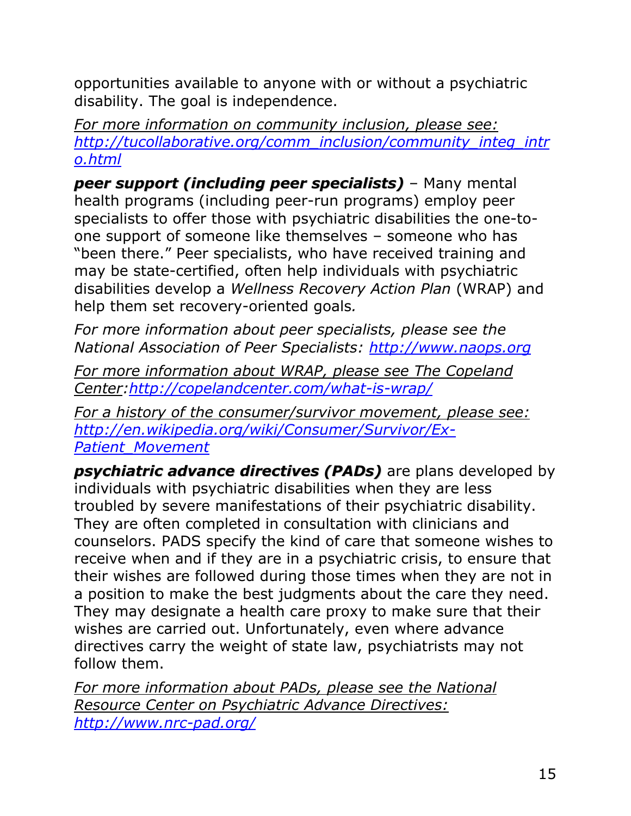opportunities available to anyone with or without a psychiatric disability. The goal is independence.

*For more information on community inclusion, please see: [http://tucollaborative.org/comm\\_inclusion/community\\_integ\\_intr](http://tucollaborative.org/comm_inclusion/community_integ_intro.html) [o.html](http://tucollaborative.org/comm_inclusion/community_integ_intro.html)*

*peer support (including peer specialists)* – Many mental health programs (including peer-run programs) employ peer specialists to offer those with psychiatric disabilities the one-toone support of someone like themselves – someone who has "been there." Peer specialists, who have received training and may be state-certified, often help individuals with psychiatric disabilities develop a *Wellness Recovery Action Plan* (WRAP) and help them set recovery-oriented goals*.*

*For more information about peer specialists, please see the National Association of Peer Specialists: [http://www.naops.org](http://www.naops.org/)*

*For more information about WRAP, please see The Copeland Center[:http://copelandcenter.com/what-is-wrap/](http://copelandcenter.com/what-is-wrap/)*

*For a history of the consumer/survivor movement, please see: [http://en.wikipedia.org/wiki/Consumer/Survivor/Ex-](http://en.wikipedia.org/wiki/Consumer/Survivor/Ex-Patient_Movement)[Patient\\_Movement](http://en.wikipedia.org/wiki/Consumer/Survivor/Ex-Patient_Movement)*

*psychiatric advance directives (PADs)* are plans developed by individuals with psychiatric disabilities when they are less troubled by severe manifestations of their psychiatric disability. They are often completed in consultation with clinicians and counselors. PADS specify the kind of care that someone wishes to receive when and if they are in a psychiatric crisis, to ensure that their wishes are followed during those times when they are not in a position to make the best judgments about the care they need. They may designate a health care proxy to make sure that their wishes are carried out. Unfortunately, even where advance directives carry the weight of state law, psychiatrists may not follow them.

*For more information about PADs, please see the National Resource Center on Psychiatric Advance Directives: <http://www.nrc-pad.org/>*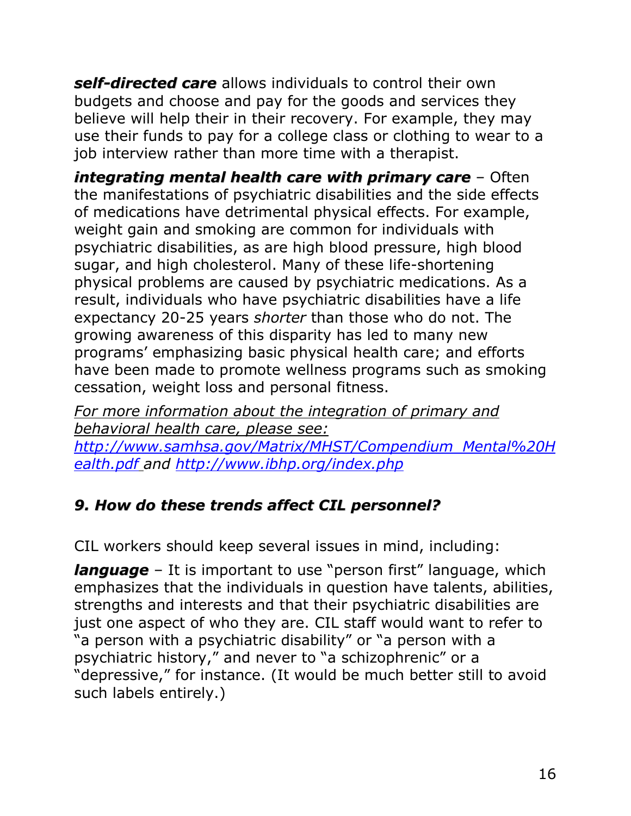*self-directed care* allows individuals to control their own budgets and choose and pay for the goods and services they believe will help their in their recovery. For example, they may use their funds to pay for a college class or clothing to wear to a job interview rather than more time with a therapist.

*integrating mental health care with primary care* – Often the manifestations of psychiatric disabilities and the side effects of medications have detrimental physical effects. For example, weight gain and smoking are common for individuals with psychiatric disabilities, as are high blood pressure, high blood sugar, and high cholesterol. Many of these life-shortening physical problems are caused by psychiatric medications. As a result, individuals who have psychiatric disabilities have a life expectancy 20-25 years *shorter* than those who do not. The growing awareness of this disparity has led to many new programs" emphasizing basic physical health care; and efforts have been made to promote wellness programs such as smoking cessation, weight loss and personal fitness.

*For more information about the integration of primary and behavioral health care, please see: [http://www.samhsa.gov/Matrix/MHST/Compendium\\_Mental%20H](http://www.samhsa.gov/Matrix/MHST/Compendium_Mental%20Health.pdf) [ealth.pdf](http://www.samhsa.gov/Matrix/MHST/Compendium_Mental%20Health.pdf) and<http://www.ibhp.org/index.php>*

## <span id="page-16-0"></span>*9. How do these trends affect CIL personnel?*

CIL workers should keep several issues in mind, including:

**language** – It is important to use "person first" language, which emphasizes that the individuals in question have talents, abilities, strengths and interests and that their psychiatric disabilities are just one aspect of who they are. CIL staff would want to refer to "a person with a psychiatric disability" or "a person with a psychiatric history," and never to "a schizophrenic" or a "depressive," for instance. (It would be much better still to avoid such labels entirely.)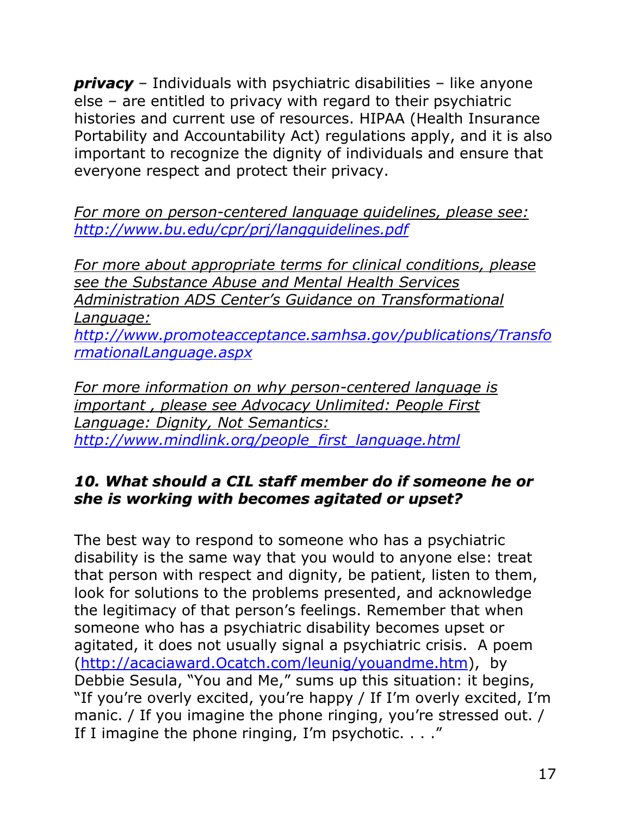*privacy* – Individuals with psychiatric disabilities – like anyone else – are entitled to privacy with regard to their psychiatric histories and current use of resources. HIPAA (Health Insurance Portability and Accountability Act) regulations apply, and it is also important to recognize the dignity of individuals and ensure that everyone respect and protect their privacy.

*For more on person-centered language guidelines, please see: <http://www.bu.edu/cpr/prj/langguidelines.pdf>*

*For more about appropriate terms for clinical conditions, please see the Substance Abuse and Mental Health Services Administration ADS Center's Guidance on Transformational Language: [http://www.promoteacceptance.samhsa.gov/publications/Transfo](http://www.promoteacceptance.samhsa.gov/publications/TransformationalLanguage.aspx)*

*[rmationalLanguage.aspx](http://www.promoteacceptance.samhsa.gov/publications/TransformationalLanguage.aspx)*

*For more information on why person-centered language is important , please see Advocacy Unlimited: People First Language: Dignity, Not Semantics: [http://www.mindlink.org/people\\_first\\_language.html](http://www.mindlink.org/people_first_language.html)*

#### <span id="page-17-0"></span>*10. What should a CIL staff member do if someone he or she is working with becomes agitated or upset?*

The best way to respond to someone who has a psychiatric disability is the same way that you would to anyone else: treat that person with respect and dignity, be patient, listen to them, look for solutions to the problems presented, and acknowledge the legitimacy of that person's feelings. Remember that when someone who has a psychiatric disability becomes upset or agitated, it does not usually signal a psychiatric crisis. A poem [\(http://acaciaward.Ocatch.com/leunig/youandme.htm\)](http://acaciaward.ocatch.com/leunig/youandme.htm), by Debbie Sesula, "You and Me," sums up this situation: it begins, "If you"re overly excited, you"re happy / If I"m overly excited, I"m manic. / If you imagine the phone ringing, you're stressed out. / If I imagine the phone ringing, I'm psychotic.  $\ldots$ "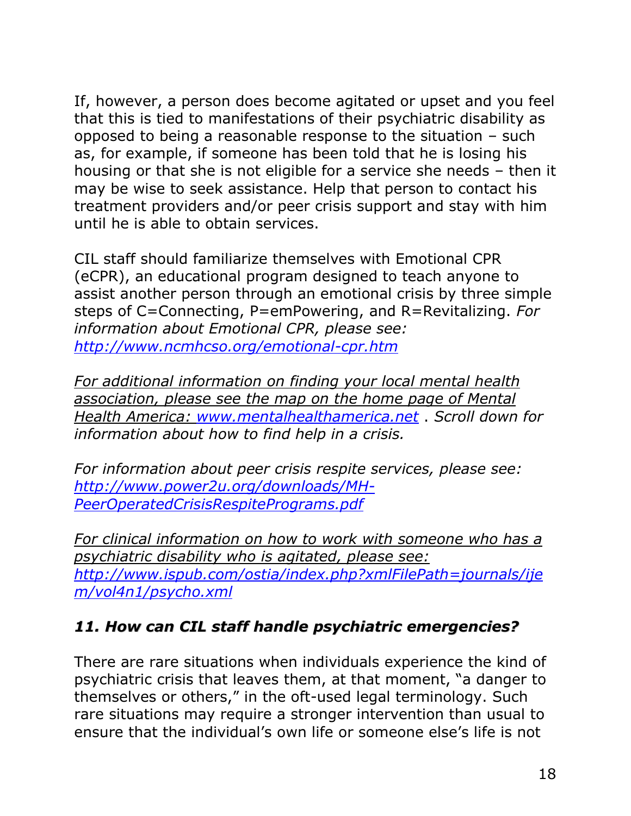If, however, a person does become agitated or upset and you feel that this is tied to manifestations of their psychiatric disability as opposed to being a reasonable response to the situation – such as, for example, if someone has been told that he is losing his housing or that she is not eligible for a service she needs – then it may be wise to seek assistance. Help that person to contact his treatment providers and/or peer crisis support and stay with him until he is able to obtain services.

CIL staff should familiarize themselves with Emotional CPR (eCPR), an educational program designed to teach anyone to assist another person through an emotional crisis by three simple steps of C=Connecting, P=emPowering, and R=Revitalizing. *For information about Emotional CPR, please see: <http://www.ncmhcso.org/emotional-cpr.htm>*

*For additional information on finding your local mental health association, please see the map on the home page of Mental Health America: [www.mentalhealthamerica.net](http://www.mentalhealthamerica.net/)* . *Scroll down for information about how to find help in a crisis.*

*For information about peer crisis respite services, please see: [http://www.power2u.org/downloads/MH-](http://www.power2u.org/downloads/MH-PeerOperatedCrisisRespitePrograms.pdf)[PeerOperatedCrisisRespitePrograms.pdf](http://www.power2u.org/downloads/MH-PeerOperatedCrisisRespitePrograms.pdf)*

*For clinical information on how to work with someone who has a psychiatric disability who is agitated, please see: [http://www.ispub.com/ostia/index.php?xmlFilePath=journals/ije](http://www.ispub.com/ostia/index.php?xmlFilePath=journals/ijem/vol4n1/psycho.xml) [m/vol4n1/psycho.xml](http://www.ispub.com/ostia/index.php?xmlFilePath=journals/ijem/vol4n1/psycho.xml)*

### <span id="page-18-0"></span>*11. How can CIL staff handle psychiatric emergencies?*

There are rare situations when individuals experience the kind of psychiatric crisis that leaves them, at that moment, "a danger to themselves or others," in the oft-used legal terminology. Such rare situations may require a stronger intervention than usual to ensure that the individual"s own life or someone else"s life is not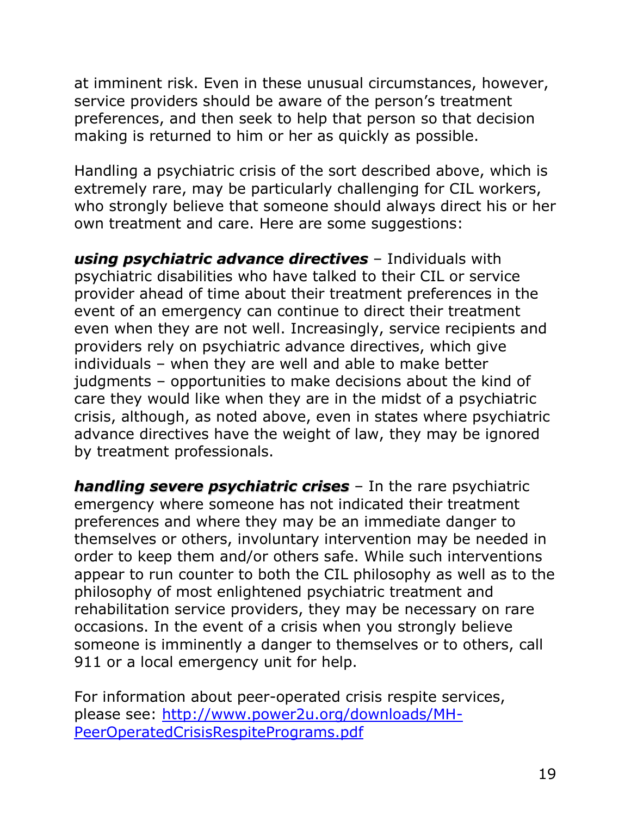at imminent risk. Even in these unusual circumstances, however, service providers should be aware of the person's treatment preferences, and then seek to help that person so that decision making is returned to him or her as quickly as possible.

Handling a psychiatric crisis of the sort described above, which is extremely rare, may be particularly challenging for CIL workers, who strongly believe that someone should always direct his or her own treatment and care. Here are some suggestions:

*using psychiatric advance directives* – Individuals with psychiatric disabilities who have talked to their CIL or service provider ahead of time about their treatment preferences in the event of an emergency can continue to direct their treatment even when they are not well. Increasingly, service recipients and providers rely on psychiatric advance directives, which give individuals – when they are well and able to make better judgments – opportunities to make decisions about the kind of care they would like when they are in the midst of a psychiatric crisis, although, as noted above, even in states where psychiatric advance directives have the weight of law, they may be ignored by treatment professionals.

*handling severe psychiatric crises* – In the rare psychiatric emergency where someone has not indicated their treatment preferences and where they may be an immediate danger to themselves or others, involuntary intervention may be needed in order to keep them and/or others safe. While such interventions appear to run counter to both the CIL philosophy as well as to the philosophy of most enlightened psychiatric treatment and rehabilitation service providers, they may be necessary on rare occasions. In the event of a crisis when you strongly believe someone is imminently a danger to themselves or to others, call 911 or a local emergency unit for help.

For information about peer-operated crisis respite services, please see: [http://www.power2u.org/downloads/MH-](http://www.power2u.org/downloads/MH-PeerOperatedCrisisRespitePrograms.pdf)[PeerOperatedCrisisRespitePrograms.pdf](http://www.power2u.org/downloads/MH-PeerOperatedCrisisRespitePrograms.pdf)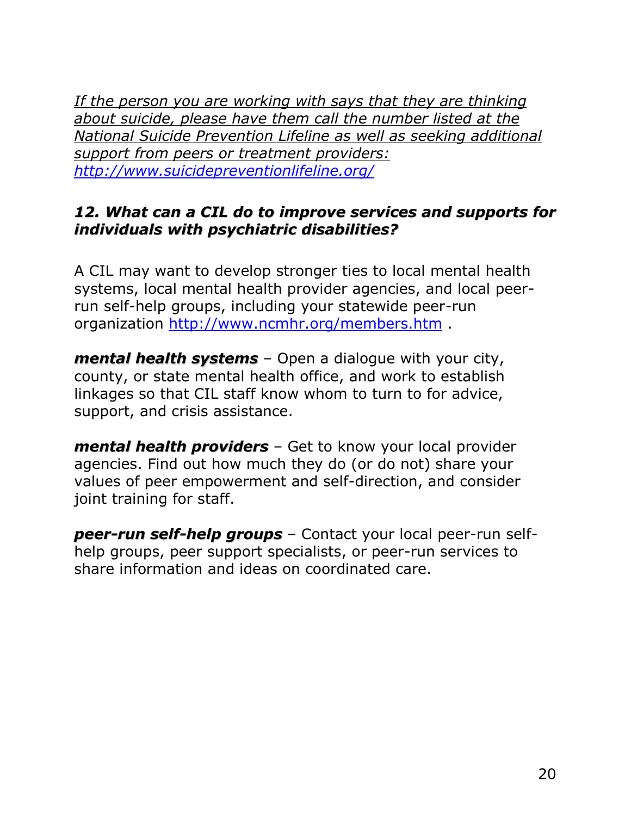*If the person you are working with says that they are thinking about suicide, please have them call the number listed at the National Suicide Prevention Lifeline as well as seeking additional support from peers or treatment providers: <http://www.suicidepreventionlifeline.org/>*

#### <span id="page-20-0"></span>*12. What can a CIL do to improve services and supports for individuals with psychiatric disabilities?*

A CIL may want to develop stronger ties to local mental health systems, local mental health provider agencies, and local peerrun self-help groups, including your statewide peer-run organization<http://www.ncmhr.org/members.htm> .

*mental health systems* – Open a dialogue with your city, county, or state mental health office, and work to establish linkages so that CIL staff know whom to turn to for advice, support, and crisis assistance.

*mental health providers* – Get to know your local provider agencies. Find out how much they do (or do not) share your values of peer empowerment and self-direction, and consider joint training for staff.

*peer-run self-help groups* – Contact your local peer-run selfhelp groups, peer support specialists, or peer-run services to share information and ideas on coordinated care.